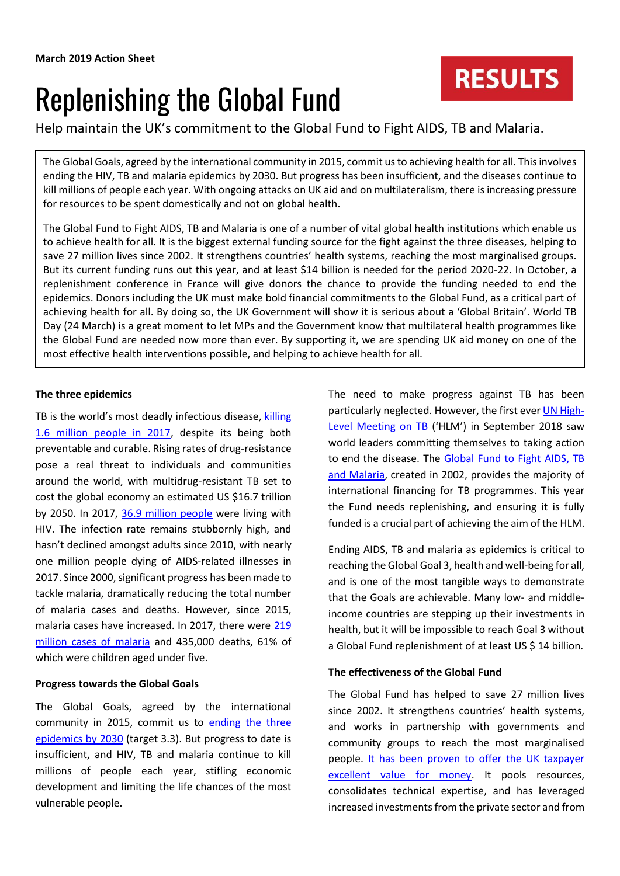# Replenishing the Global Fund

Help maintain the UK's commitment to the Global Fund to Fight AIDS, TB and Malaria.

The Global Goals, agreed by the international community in 2015, commit us to achieving health for all. This involves ending the HIV, TB and malaria epidemics by 2030. But progress has been insufficient, and the diseases continue to kill millions of people each year. With ongoing attacks on UK aid and on multilateralism, there is increasing pressure for resources to be spent domestically and not on global health.

The Global Fund to Fight AIDS, TB and Malaria is one of a number of vital global health institutions which enable us to achieve health for all. It is the biggest external funding source for the fight against the three diseases, helping to save 27 million lives since 2002. It strengthens countries' health systems, reaching the most marginalised groups. But its current funding runs out this year, and at least \$14 billion is needed for the period 2020-22. In October, a replenishment conference in France will give donors the chance to provide the funding needed to end the epidemics. Donors including the UK must make bold financial commitments to the Global Fund, as a critical part of achieving health for all. By doing so, the UK Government will show it is serious about a 'Global Britain'. World TB Day (24 March) is a great moment to let MPs and the Government know that multilateral health programmes like the Global Fund are needed now more than ever. By supporting it, we are spending UK aid money on one of the most effective health interventions possible, and helping to achieve health for all.

# **The three epidemics**

TB is the world's most deadly infectious disease, [killing](https://www.who.int/tb/publications/global_report/en/)  [1.6 million people in 2017,](https://www.who.int/tb/publications/global_report/en/) despite its being both preventable and curable. Rising rates of drug-resistance pose a real threat to individuals and communities around the world, with multidrug-resistant TB set to cost the global economy an estimated US \$16.7 trillion by 2050. In 2017, [36.9 million people](http://www.unaids.org/en/resources/fact-sheet) were living with HIV. The infection rate remains stubbornly high, and hasn't declined amongst adults since 2010, with nearly one million people dying of AIDS-related illnesses in 2017. Since 2000, significant progress has been made to tackle malaria, dramatically reducing the total number of malaria cases and deaths. However, since 2015, malaria cases have increased. In 2017, there were 219 [million cases of malaria](https://www.who.int/malaria/publications/world-malaria-report-2018/en/) and 435,000 deaths, 61% of which were children aged under five.

## **Progress towards the Global Goals**

The Global Goals, agreed by the international community in 2015, commit us to [ending the three](https://www.globalgoals.org/3-good-health-and-well-being) [epidemics](https://www.globalgoals.org/3-good-health-and-well-being) by 2030 (target 3.3). But progress to date is insufficient, and HIV, TB and malaria continue to kill millions of people each year, stifling economic development and limiting the life chances of the most vulnerable people.

The need to make progress against TB has been particularly neglected. However, the first eve[r UN High-](http://www.stoptb.org/assets/documents/news/UN%20HLM%20FAQ%20rev.pdf)[Level Meeting on TB](http://www.stoptb.org/assets/documents/news/UN%20HLM%20FAQ%20rev.pdf) ('HLM') in September 2018 saw world leaders committing themselves to taking action to end the disease. The Global Fund to Fight AIDS, TB [and Malaria,](https://www.theglobalfund.org/en/) created in 2002, provides the majority of international financing for TB programmes. This year the Fund needs replenishing, and ensuring it is fully funded is a crucial part of achieving the aim of the HLM.

**RESULTS** 

Ending AIDS, TB and malaria as epidemics is critical to reaching the Global Goal 3, health and well-being for all, and is one of the most tangible ways to demonstrate that the Goals are achievable. Many low- and middleincome countries are stepping up their investments in health, but it will be impossible to reach Goal 3 without a Global Fund replenishment of at least US \$ 14 billion.

## **The effectiveness of the Global Fund**

The Global Fund has helped to save 27 million lives since 2002. It strengthens countries' health systems, and works in partnership with governments and community groups to reach the most marginalised people. [It has been proven to offer the UK taxpayer](https://assets.publishing.service.gov.uk/government/uploads/system/uploads/attachment_data/file/573884/Multilateral-Development-Review-Dec2016.pdf)  [excellent value for money.](https://assets.publishing.service.gov.uk/government/uploads/system/uploads/attachment_data/file/573884/Multilateral-Development-Review-Dec2016.pdf) It pools resources, consolidates technical expertise, and has leveraged increased investments from the private sector and from